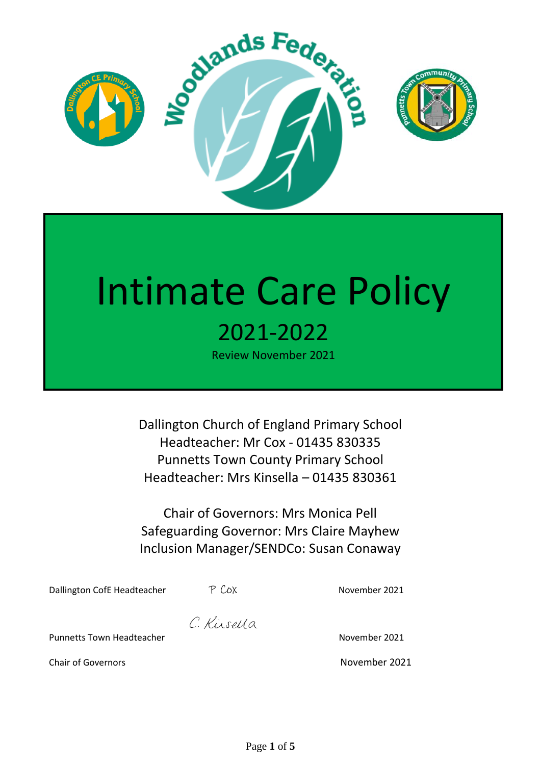

# Intimate Care Policy 2021-2022

Review November 2021

Dallington Church of England Primary School Headteacher: Mr Cox - 01435 830335 Punnetts Town County Primary School Headteacher: Mrs Kinsella – 01435 830361

Chair of Governors: Mrs Monica Pell Safeguarding Governor: Mrs Claire Mayhew Inclusion Manager/SENDCo: Susan Conaway

Dallington CofE Headteacher  $P$  Cox November 2021

C. Kirsella

Punnetts Town Headteacher November 2021

Chair of Governors **November 2021**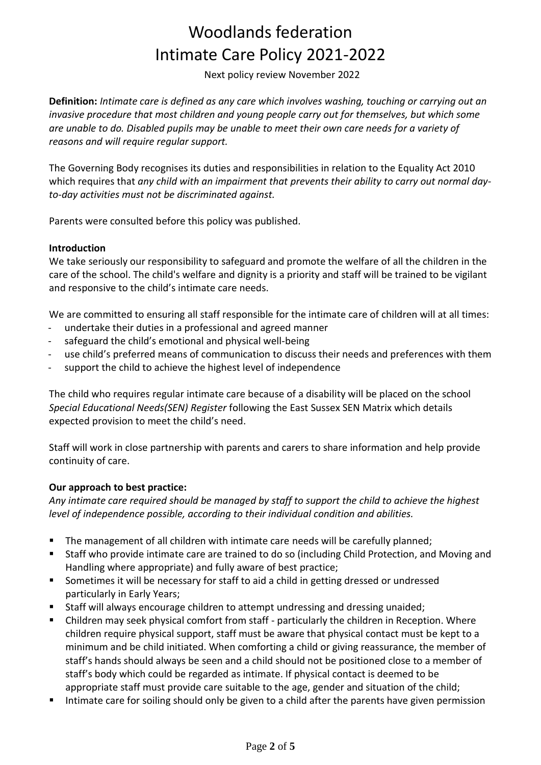# Woodlands federation Intimate Care Policy 2021-2022

Next policy review November 2022

**Definition:** *Intimate care is defined as any care which involves washing, touching or carrying out an invasive procedure that most children and young people carry out for themselves, but which some are unable to do. Disabled pupils may be unable to meet their own care needs for a variety of reasons and will require regular support.*

The Governing Body recognises its duties and responsibilities in relation to the Equality Act 2010 which requires that *any child with an impairment that prevents their ability to carry out normal dayto-day activities must not be discriminated against.* 

Parents were consulted before this policy was published.

#### **Introduction**

We take seriously our responsibility to safeguard and promote the welfare of all the children in the care of the school. The child's welfare and dignity is a priority and staff will be trained to be vigilant and responsive to the child's intimate care needs.

We are committed to ensuring all staff responsible for the intimate care of children will at all times:

- undertake their duties in a professional and agreed manner
- safeguard the child's emotional and physical well-being
- use child's preferred means of communication to discuss their needs and preferences with them
- support the child to achieve the highest level of independence

The child who requires regular intimate care because of a disability will be placed on the school *Special Educational Needs(SEN) Register* following the East Sussex SEN Matrix which details expected provision to meet the child's need.

Staff will work in close partnership with parents and carers to share information and help provide continuity of care.

#### **Our approach to best practice:**

*Any intimate care required should be managed by staff to support the child to achieve the highest level of independence possible, according to their individual condition and abilities.* 

- The management of all children with intimate care needs will be carefully planned;
- Staff who provide intimate care are trained to do so (including Child Protection, and Moving and Handling where appropriate) and fully aware of best practice;
- Sometimes it will be necessary for staff to aid a child in getting dressed or undressed particularly in Early Years;
- Staff will always encourage children to attempt undressing and dressing unaided;
- Children may seek physical comfort from staff particularly the children in Reception. Where children require physical support, staff must be aware that physical contact must be kept to a minimum and be child initiated. When comforting a child or giving reassurance, the member of staff's hands should always be seen and a child should not be positioned close to a member of staff's body which could be regarded as intimate. If physical contact is deemed to be appropriate staff must provide care suitable to the age, gender and situation of the child;
- Intimate care for soiling should only be given to a child after the parents have given permission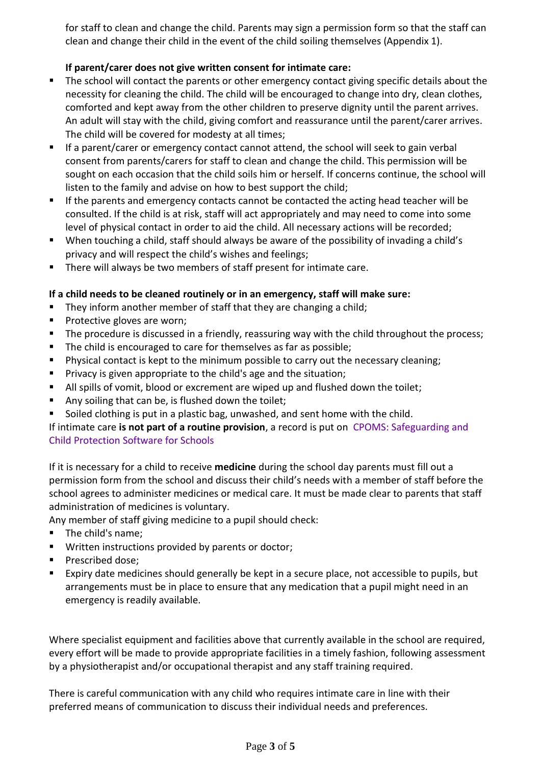for staff to clean and change the child. Parents may sign a permission form so that the staff can clean and change their child in the event of the child soiling themselves (Appendix 1).

#### **If parent/carer does not give written consent for intimate care:**

- The school will contact the parents or other emergency contact giving specific details about the necessity for cleaning the child. The child will be encouraged to change into dry, clean clothes, comforted and kept away from the other children to preserve dignity until the parent arrives. An adult will stay with the child, giving comfort and reassurance until the parent/carer arrives. The child will be covered for modesty at all times;
- **■** If a parent/carer or emergency contact cannot attend, the school will seek to gain verbal consent from parents/carers for staff to clean and change the child. This permission will be sought on each occasion that the child soils him or herself. If concerns continue, the school will listen to the family and advise on how to best support the child;
- If the parents and emergency contacts cannot be contacted the acting head teacher will be consulted. If the child is at risk, staff will act appropriately and may need to come into some level of physical contact in order to aid the child. All necessary actions will be recorded;
- When touching a child, staff should always be aware of the possibility of invading a child's privacy and will respect the child's wishes and feelings;
- There will always be two members of staff present for intimate care.

#### **If a child needs to be cleaned routinely or in an emergency, staff will make sure:**

- They inform another member of staff that they are changing a child;
- Protective gloves are worn;
- The procedure is discussed in a friendly, reassuring way with the child throughout the process;
- The child is encouraged to care for themselves as far as possible;
- Physical contact is kept to the minimum possible to carry out the necessary cleaning;
- Privacy is given appropriate to the child's age and the situation;
- All spills of vomit, blood or excrement are wiped up and flushed down the toilet;
- Any soiling that can be, is flushed down the toilet;
- Soiled clothing is put in a plastic bag, unwashed, and sent home with the child.

#### If intimate care **is not part of a routine provision**, a record is put on [CPOMS: Safeguarding and](https://www.cpoms.co.uk/)  [Child Protection Software for Schools](https://www.cpoms.co.uk/)

If it is necessary for a child to receive **medicine** during the school day parents must fill out a permission form from the school and discuss their child's needs with a member of staff before the school agrees to administer medicines or medical care. It must be made clear to parents that staff administration of medicines is voluntary.

Any member of staff giving medicine to a pupil should check:

- The child's name;
- Written instructions provided by parents or doctor;
- Prescribed dose;
- Expiry date medicines should generally be kept in a secure place, not accessible to pupils, but arrangements must be in place to ensure that any medication that a pupil might need in an emergency is readily available.

Where specialist equipment and facilities above that currently available in the school are required, every effort will be made to provide appropriate facilities in a timely fashion, following assessment by a physiotherapist and/or occupational therapist and any staff training required.

There is careful communication with any child who requires intimate care in line with their preferred means of communication to discuss their individual needs and preferences.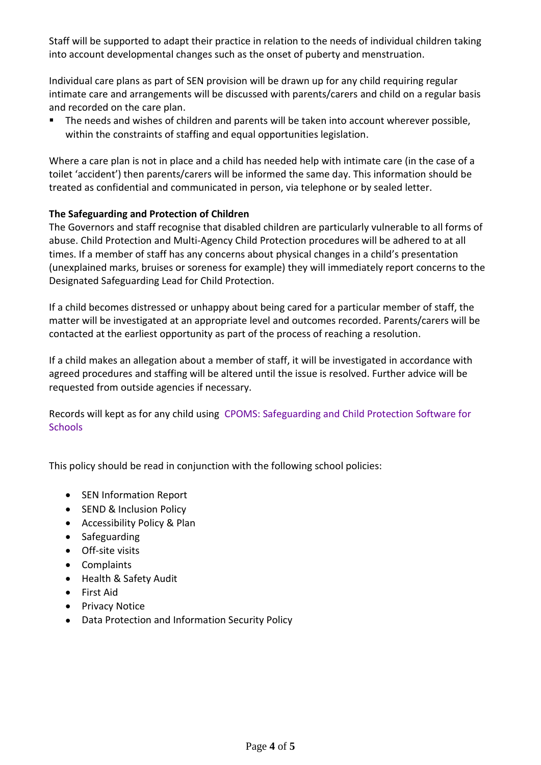Staff will be supported to adapt their practice in relation to the needs of individual children taking into account developmental changes such as the onset of puberty and menstruation.

Individual care plans as part of SEN provision will be drawn up for any child requiring regular intimate care and arrangements will be discussed with parents/carers and child on a regular basis and recorded on the care plan.

The needs and wishes of children and parents will be taken into account wherever possible, within the constraints of staffing and equal opportunities legislation.

Where a care plan is not in place and a child has needed help with intimate care (in the case of a toilet 'accident') then parents/carers will be informed the same day. This information should be treated as confidential and communicated in person, via telephone or by sealed letter.

#### **The Safeguarding and Protection of Children**

The Governors and staff recognise that disabled children are particularly vulnerable to all forms of abuse. Child Protection and Multi-Agency Child Protection procedures will be adhered to at all times. If a member of staff has any concerns about physical changes in a child's presentation (unexplained marks, bruises or soreness for example) they will immediately report concerns to the Designated Safeguarding Lead for Child Protection.

If a child becomes distressed or unhappy about being cared for a particular member of staff, the matter will be investigated at an appropriate level and outcomes recorded. Parents/carers will be contacted at the earliest opportunity as part of the process of reaching a resolution.

If a child makes an allegation about a member of staff, it will be investigated in accordance with agreed procedures and staffing will be altered until the issue is resolved. Further advice will be requested from outside agencies if necessary.

Records will kept as for any child using [CPOMS: Safeguarding and Child Protection Software for](https://www.cpoms.co.uk/)  **[Schools](https://www.cpoms.co.uk/)** 

This policy should be read in conjunction with the following school policies:

- SEN Information Report
- SEND & Inclusion Policy
- Accessibility Policy & Plan
- Safeguarding
- Off-site visits
- Complaints
- Health & Safety Audit
- First Aid
- Privacy Notice
- Data Protection and Information Security Policy